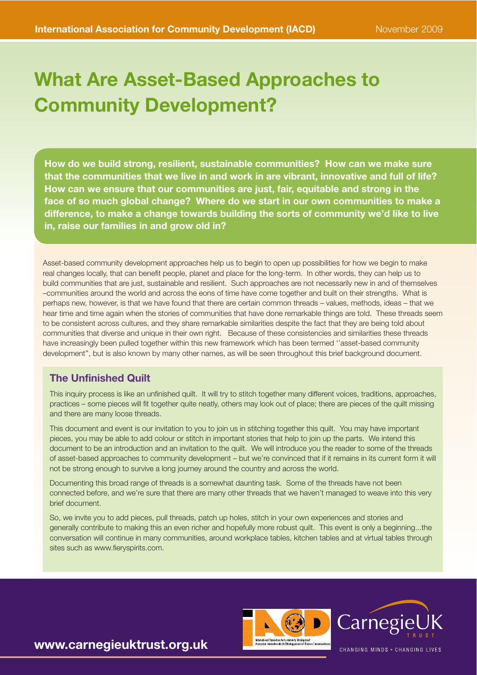# What Are Asset-Based Approaches to Community Development?

How do we build strong, resilient, sustainable communities? How can we make sure that the communities that we live in and work in are vibrant, innovative and full of life? How can we ensure that our communities are just, fair, equitable and strong in the face of so much global change? Where do we start in our own communities to make a difference, to make a change towards building the sorts of community we'd like to live in, raise our families in and grow old in?

Asset-based community development approaches help us to begin to open up possibilities for how we begin to make real changes locally, that can benefit people, planet and place for the long-term. In other words, they can help us to build communities that are just, sustainable and resilient. Such approaches are not necessarily new in and of themselves –communities around the world and across the eons of time have come together and built on their strengths. What is perhaps new, however, is that we have found that there are certain common threads – values, methods, ideas – that we hear time and time again when the stories of communities that have done remarkable things are told. These threads seem to be consistent across cultures, and they share remarkable similarities despite the fact that they are being told about communities that diverse and unique in their own right. Because of these consistencies and similarities these threads have increasingly been pulled together within this new framework which has been termed ''asset-based community development'', but is also known by many other names, as will be seen throughout this brief background document.

## The Unfinished Quilt

This inquiry process is like an unfinished quilt. It will try to stitch together many different voices, traditions, approaches, practices – some pieces will fit together quite neatly, others may look out of place; there are pieces of the quilt missing and there are many loose threads.

This document and event is our invitation to you to join us in stitching together this quilt. You may have important pieces, you may be able to add colour or stitch in important stories that help to join up the parts. We intend this document to be an introduction and an invitation to the quilt. We will introduce you the reader to some of the threads of asset-based approaches to community development – but we're convinced that if it remains in its current form it will not be strong enough to survive a long journey around the country and across the world.

Documenting this broad range of threads is a somewhat daunting task. Some of the threads have not been connected before, and we're sure that there are many other threads that we haven't managed to weave into this very brief document.

So, we invite you to add pieces, pull threads, patch up holes, stitch in your own experiences and stories and generally contribute to making this an even richer and hopefully more robust quilt. This event is only a beginning...the conversation will continue in many communities, around workplace tables, kitchen tables and at virtual tables through sites such as [www.fieryspirits.com.](http://www.fieryspirits.com)





CHANGING MINDS . CHANGING LIVES

www.carnegieuktrust.org.uk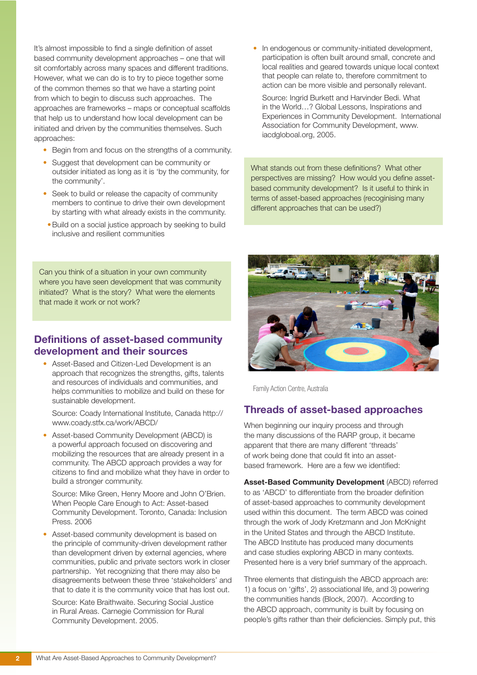It's almost impossible to find a single definition of asset based community development approaches – one that will sit comfortably across many spaces and different traditions. However, what we can do is to try to piece together some of the common themes so that we have a starting point from which to begin to discuss such approaches. The approaches are frameworks – maps or conceptual scaffolds that help us to understand how local development can be initiated and driven by the communities themselves. Such approaches:

- Begin from and focus on the strengths of a community.
- Suggest that development can be community or outsider initiated as long as it is 'by the community, for the community'.
- Seek to build or release the capacity of community members to continue to drive their own development by starting with what already exists in the community.
- Build on a social justice approach by seeking to build inclusive and resilient communities

Can you think of a situation in your own community where you have seen development that was community initiated? What is the story? What were the elements that made it work or not work?

## Definitions of asset-based community development and their sources

• Asset-Based and Citizen-Led Development is an approach that recognizes the strengths, gifts, talents and resources of individuals and communities, and helps communities to mobilize and build on these for sustainable development.

Source: Coady International Institute, Canada [http://](http://www.coady.stfx.ca/work/ABCD/%0D) [www.coady.stfx.ca/work/ABCD/](http://www.coady.stfx.ca/work/ABCD/%0D)

• Asset-based Community Development (ABCD) is a powerful approach focused on discovering and mobilizing the resources that are already present in a community. The ABCD approach provides a way for citizens to find and mobilize what they have in order to build a stronger community.

Source: Mike Green, Henry Moore and John O'Brien. When People Care Enough to Act: Asset-based Community Development. Toronto, Canada: Inclusion Press. 2006

Asset-based community development is based on the principle of community-driven development rather than development driven by external agencies, where communities, public and private sectors work in closer partnership. Yet recognizing that there may also be disagreements between these three 'stakeholders' and that to date it is the community voice that has lost out.

Source: Kate Braithwaite. Securing Social Justice in Rural Areas. Carnegie Commission for Rural Community Development. 2005.

In endogenous or community-initiated development, participation is often built around small, concrete and local realities and geared towards unique local context that people can relate to, therefore commitment to action can be more visible and personally relevant.

Source: Ingrid Burkett and Harvinder Bedi. What in the World…? Global Lessons, Inspirations and Experiences in Community Development. International Association for Community Development, [www.](http://www.iacdgloboal.org) [iacdgloboal.org, 2005.](http://www.iacdgloboal.org)

What stands out from these definitions? What other perspectives are missing? How would you define assetbased community development? Is it useful to think in terms of asset-based approaches (recoginising many different approaches that can be used?)



Family Action Centre, Australia

### Threads of asset-based approaches

When beginning our inquiry process and through the many discussions of the RARP group, it became apparent that there are many different 'threads' of work being done that could fit into an assetbased framework. Here are a few we identified:

Asset-Based Community Development (ABCD) referred to as 'ABCD' to differentiate from the broader definition of asset-based approaches to community development used within this document. The term ABCD was coined through the work of Jody Kretzmann and Jon McKnight in the United States and through the ABCD Institute. The ABCD Institute has produced many documents and case studies exploring ABCD in many contexts. Presented here is a very brief summary of the approach.

Three elements that distinguish the ABCD approach are: 1) a focus on 'gifts', 2) associational life, and 3) powering the communities hands (Block, 2007). According to the ABCD approach, community is built by focusing on people's gifts rather than their deficiencies. Simply put, this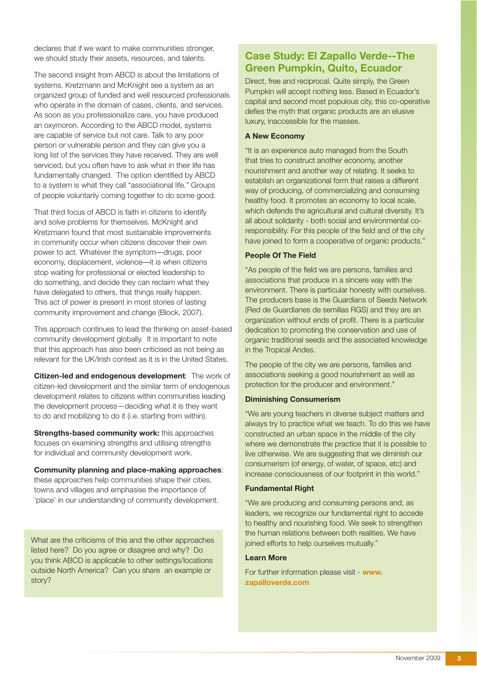declares that if we want to make communities stronger, we should study their assets, resources, and talents.

The second insight from ABCD is about the limitations of systems. Kretzmann and McKnight see a system as an organized group of funded and well resourced professionals who operate in the domain of cases, clients, and services. As soon as you professionalize care, you have produced an oxymoron. According to the ABCD model, systems are capable of service but not care. Talk to any poor person or vulnerable person and they can give you a long list of the services they have received. They are well serviced, but you often have to ask what in their life has fundamentally changed. The option identified by ABCD to a system is what they call "associational life." Groups of people voluntarily coming together to do some good.

That third focus of ABCD is faith in citizens to identify and solve problems for themselves. McKnight and Kretzmann found that most sustainable improvements in community occur when citizens discover their own power to act. Whatever the symptom––drugs, poor economy, displacement, violence—it is when citizens stop waiting for professional or elected leadership to do something, and decide they can reclaim what they have delegated to others, that things really happen. This act of power is present in most stories of lasting community improvement and change (Block, 2007).

This approach continues to lead the thinking on asset-based community development globally. It is important to note that this approach has also been criticised as not being as relevant for the UK/Irish context as it is in the United States.

Citizen-led and endogenous development: The work of citizen-led development and the similar term of endogenous development relates to citizens within communities leading the development process—deciding what it is they want to do and mobilizing to do it (i.e. starting from within).

Strengths-based community work: this approaches focuses on examining strengths and utilising strengths for individual and community development work.

Community planning and place-making approaches: these approaches help communities shape their cities, towns and villages and emphasise the importance of 'place' in our understanding of community development.

What are the criticisms of this and the other approaches listed here? Do you agree or disagree and why? Do you think ABCD is applicable to other settings/locations outside North America? Can you share an example or story?

## Case Study: El Zapallo Verde--The Green Pumpkin, Quito, Ecuador

Direct, free and reciprocal. Quite simply, the Green Pumpkin will accept nothing less. Based in Ecuador's capital and second most populous city, this co-operative defies the myth that organic products are an elusive luxury, inaccessible for the masses.

#### A New Economy

"It is an experience auto managed from the South that tries to construct another economy, another nourishment and another way of relating. It seeks to establish an organizational form that raises a different way of producing, of commercializing and consuming healthy food. It promotes an economy to local scale, which defends the agricultural and cultural diversity. It's all about solidarity - both social and environmental coresponsibility. For this people of the field and of the city have joined to form a cooperative of organic products."

#### People Of The Field

"As people of the field we are persons, families and associations that produce in a sincere way with the environment. There is particular honesty with ourselves. The producers base is the Guardians of Seeds Network (Red de Guardianes de semillas RGS) and they are an organization without ends of profit. There is a particular dedication to promoting the conservation and use of organic traditional seeds and the associated knowledge in the Tropical Andes.

The people of the city we are persons, families and associations seeking a good nourishment as well as protection for the producer and environment."

#### Diminishing Consumerism

"We are young teachers in diverse subject matters and always try to practice what we teach. To do this we have constructed an urban space in the middle of the city where we demonstrate the practice that it is possible to live otherwise. We are suggesting that we diminish our consumerism (of energy, of water, of space, etc) and increase consciousness of our footprint in this world."

#### Fundamental Right

"We are producing and consuming persons and, as leaders, we recognize our fundamental right to accede to healthy and nourishing food. We seek to strengthen the human relations between both realities. We have joined efforts to help ourselves mutually."

#### Learn More

For further information please visit - [www.](http://www.zapalloverde.com%0D) [zapalloverde.com](http://www.zapalloverde.com%0D)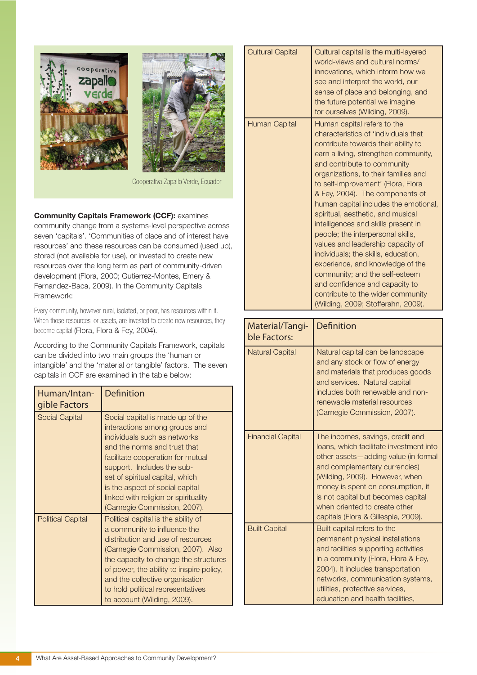



Cooperativa Zapallo Verde, Ecuador

#### Community Capitals Framework (CCF): examines

community change from a systems-level perspective across seven 'capitals'. 'Communities of place and of interest have resources' and these resources can be consumed (used up), stored (not available for use), or invested to create new resources over the long term as part of community-driven development (Flora, 2000; Gutierrez-Montes, Emery & Fernandez-Baca, 2009). In the Community Capitals Framework:

Every community, however rural, isolated, or poor, has resources within it. When those resources, or assets, are invested to create new resources, they become capital (Flora, Flora & Fey, 2004).

According to the Community Capitals Framework, capitals can be divided into two main groups the 'human or intangible' and the 'material or tangible' factors. The seven capitals in CCF are examined in the table below:

| Human/Intan-<br>gible Factors | Definition                                                                                                                                                                                                                                                                                                                                         |
|-------------------------------|----------------------------------------------------------------------------------------------------------------------------------------------------------------------------------------------------------------------------------------------------------------------------------------------------------------------------------------------------|
| <b>Social Capital</b>         | Social capital is made up of the<br>interactions among groups and<br>individuals such as networks<br>and the norms and trust that<br>facilitate cooperation for mutual<br>support. Includes the sub-<br>set of spiritual capital, which<br>is the aspect of social capital<br>linked with religion or spirituality<br>(Carnegie Commission, 2007). |
| <b>Political Capital</b>      | Political capital is the ability of<br>a community to influence the<br>distribution and use of resources<br>(Carnegie Commission, 2007). Also<br>the capacity to change the structures<br>of power, the ability to inspire policy,<br>and the collective organisation<br>to hold political representatives<br>to account (Wilding, 2009).          |

| <b>Cultural Capital</b> | Cultural capital is the multi-layered<br>world-views and cultural norms/<br>innovations, which inform how we<br>see and interpret the world, our<br>sense of place and belonging, and<br>the future potential we imagine<br>for ourselves (Wilding, 2009).                                                                                                                                                                                                                                                                                                                                                                                                                                                                  |
|-------------------------|-----------------------------------------------------------------------------------------------------------------------------------------------------------------------------------------------------------------------------------------------------------------------------------------------------------------------------------------------------------------------------------------------------------------------------------------------------------------------------------------------------------------------------------------------------------------------------------------------------------------------------------------------------------------------------------------------------------------------------|
| Human Capital           | Human capital refers to the<br>characteristics of 'individuals that<br>contribute towards their ability to<br>earn a living, strengthen community,<br>and contribute to community<br>organizations, to their families and<br>to self-improvement' (Flora, Flora<br>& Fey, 2004). The components of<br>human capital includes the emotional,<br>spiritual, aesthetic, and musical<br>intelligences and skills present in<br>people; the interpersonal skills,<br>values and leadership capacity of<br>individuals; the skills, education,<br>experience, and knowledge of the<br>community; and the self-esteem<br>and confidence and capacity to<br>contribute to the wider community<br>(Wilding, 2009; Stofferahn, 2009). |

| Material/Tangi-<br>ble Factors: | <b>Definition</b>                                                                                                                                                                                                                                                                                                                         |
|---------------------------------|-------------------------------------------------------------------------------------------------------------------------------------------------------------------------------------------------------------------------------------------------------------------------------------------------------------------------------------------|
| <b>Natural Capital</b>          | Natural capital can be landscape<br>and any stock or flow of energy<br>and materials that produces goods<br>and services. Natural capital<br>includes both renewable and non-<br>renewable material resources<br>(Carnegie Commission, 2007).                                                                                             |
| <b>Financial Capital</b>        | The incomes, savings, credit and<br>loans, which facilitate investment into<br>other assets-adding value (in formal<br>and complementary currencies)<br>(Wilding, 2009). However, when<br>money is spent on consumption, it<br>is not capital but becomes capital<br>when oriented to create other<br>capitals (Flora & Gillespie, 2009). |
| <b>Built Capital</b>            | Built capital refers to the<br>permanent physical installations<br>and facilities supporting activities<br>in a community (Flora, Flora & Fey,<br>2004). It includes transportation<br>networks, communication systems,<br>utilities, protective services,<br>education and health facilities,                                            |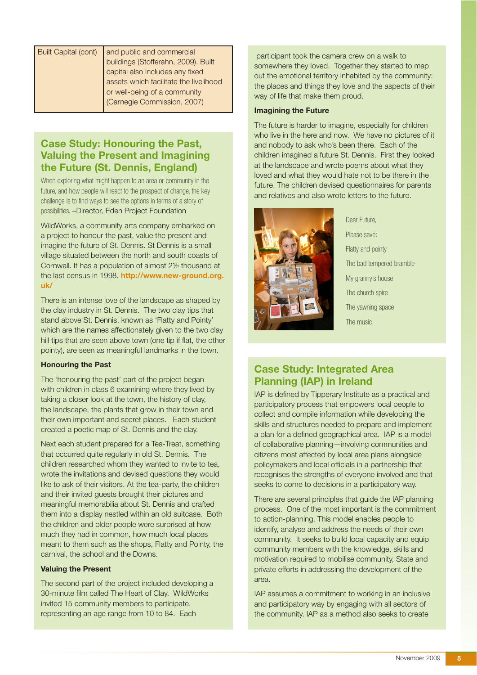# Case Study: Honouring the Past, Valuing the Present and Imagining the Future (St. Dennis, England)

When exploring what might happen to an area or community in the future, and how people will react to the prospect of change, the key challenge is to find ways to see the options in terms of a story of possibilities. –Director, Eden Project Foundation

WildWorks, a community arts company embarked on a project to honour the past, value the present and imagine the future of St. Dennis. St Dennis is a small village situated between the north and south coasts of Cornwall. It has a population of almost 2½ thousand at the last census in 1998. [http://www.new-ground.org.](http://www.new-ground.org.uk/) [uk/](http://www.new-ground.org.uk/)

There is an intense love of the landscape as shaped by the clay industry in St. Dennis. The two clay tips that stand above St. Dennis, known as 'Flatty and Pointy' which are the names affectionately given to the two clay hill tips that are seen above town (one tip if flat, the other pointy), are seen as meaningful landmarks in the town.

#### Honouring the Past

The 'honouring the past' part of the project began with children in class 6 examining where they lived by taking a closer look at the town, the history of clay, the landscape, the plants that grow in their town and their own important and secret places. Each student created a poetic map of St. Dennis and the clay.

Next each student prepared for a Tea-Treat, something that occurred quite regularly in old St. Dennis. The children researched whom they wanted to invite to tea, wrote the invitations and devised questions they would like to ask of their visitors. At the tea-party, the children and their invited guests brought their pictures and meaningful memorabilia about St. Dennis and crafted them into a display nestled within an old suitcase. Both the children and older people were surprised at how much they had in common, how much local places meant to them such as the shops, Flatty and Pointy, the carnival, the school and the Downs.

#### Valuing the Present

The second part of the project included developing a 30-minute film called The Heart of Clay. WildWorks invited 15 community members to participate, representing an age range from 10 to 84. Each

icipant took the camera crew on a walk to ewhere they loved. Together they started to map he emotional territory inhabited by the community: laces and things they love and the aspects of their of life that make them proud.

#### Imagining the Future

The future is harder to imagine, especially for children who live in the here and now. We have no pictures of it and nobody to ask who's been there. Each of the children imagined a future St. Dennis. First they looked at the landscape and wrote poems about what they loved and what they would hate not to be there in the future. The children devised questionnaires for parents and relatives and also wrote letters to the future.



Dear Future, Please save: Flatty and pointy The bad tempered bramble My granny's house The church spire The yawning space The music

# Case Study: Integrated Area Planning (IAP) in Ireland

IAP is defined by Tipperary Institute as a practical and participatory process that empowers local people to collect and compile information while developing the skills and structures needed to prepare and implement a plan for a defined geographical area. IAP is a model of collaborative planning—involving communities and citizens most affected by local area plans alongside policymakers and local officials in a partnership that recognises the strengths of everyone involved and that seeks to come to decisions in a participatory way.

There are several principles that guide the IAP planning process. One of the most important is the commitment to action-planning. This model enables people to identify, analyse and address the needs of their own community. It seeks to build local capacity and equip community members with the knowledge, skills and motivation required to mobilise community, State and private efforts in addressing the development of the area.

IAP assumes a commitment to working in an inclusive and participatory way by engaging with all sectors of the community. IAP as a method also seeks to create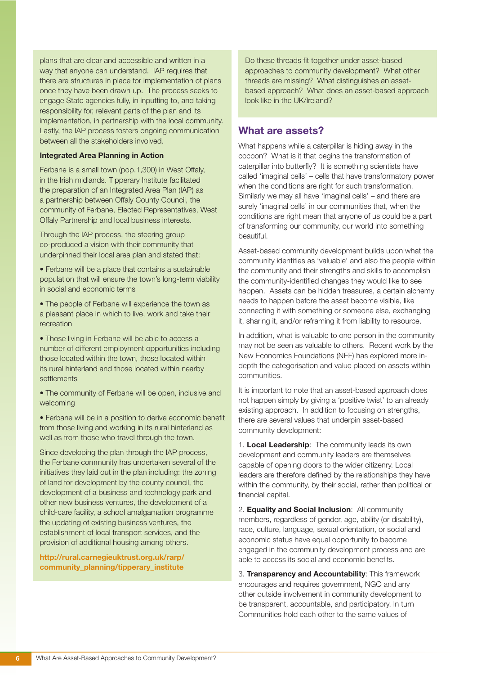plans that are clear and accessible and written in a way that anyone can understand. IAP requires that there are structures in place for implementation of plans once they have been drawn up. The process seeks to engage State agencies fully, in inputting to, and taking responsibility for, relevant parts of the plan and its implementation, in partnership with the local community. Lastly, the IAP process fosters ongoing communication between all the stakeholders involved.

#### Integrated Area Planning in Action

Ferbane is a small town (pop.1,300) in West Offaly, in the Irish midlands. Tipperary Institute facilitated the preparation of an Integrated Area Plan (IAP) as a partnership between Offaly County Council, the community of Ferbane, Elected Representatives, West Offaly Partnership and local business interests.

Through the IAP process, the steering group co-produced a vision with their community that underpinned their local area plan and stated that:

• Ferbane will be a place that contains a sustainable population that will ensure the town's long-term viability in social and economic terms

• The people of Ferbane will experience the town as a pleasant place in which to live, work and take their recreation

• Those living in Ferbane will be able to access a number of different employment opportunities including those located within the town, those located within its rural hinterland and those located within nearby **settlements** 

• The community of Ferbane will be open, inclusive and welcoming

• Ferbane will be in a position to derive economic benefit from those living and working in its rural hinterland as well as from those who travel through the town.

Since developing the plan through the IAP process, the Ferbane community has undertaken several of the initiatives they laid out in the plan including: the zoning of land for development by the county council, the development of a business and technology park and other new business ventures, the development of a child-care facility, a school amalgamation programme the updating of existing business ventures, the establishment of local transport services, and the provision of additional housing among others.

[http://rural.carnegieuktrust.org.uk/rarp/](http://rural.carnegieuktrust.org.uk/rarp/community_planning/tipperary_institute) [community\\_planning/tipperary\\_institute](http://rural.carnegieuktrust.org.uk/rarp/community_planning/tipperary_institute)

Do these threads fit together under asset-based approaches to community development? What other threads are missing? What distinguishes an assetbased approach? What does an asset-based approach look like in the UK/Ireland?

## What are assets?

What happens while a caterpillar is hiding away in the cocoon? What is it that begins the transformation of caterpillar into butterfly? It is something scientists have called 'imaginal cells' – cells that have transformatory power when the conditions are right for such transformation. Similarly we may all have 'imaginal cells' – and there are surely 'imaginal cells' in our communities that, when the conditions are right mean that anyone of us could be a part of transforming our community, our world into something beautiful.

Asset-based community development builds upon what the community identifies as 'valuable' and also the people within the community and their strengths and skills to accomplish the community-identified changes they would like to see happen. Assets can be hidden treasures, a certain alchemy needs to happen before the asset become visible, like connecting it with something or someone else, exchanging it, sharing it, and/or reframing it from liability to resource.

In addition, what is valuable to one person in the community may not be seen as valuable to others. Recent work by the New Economics Foundations (NEF) has explored more indepth the categorisation and value placed on assets within communities.

It is important to note that an asset-based approach does not happen simply by giving a 'positive twist' to an already existing approach. In addition to focusing on strengths, there are several values that underpin asset-based community development:

1. Local Leadership: The community leads its own development and community leaders are themselves capable of opening doors to the wider citizenry. Local leaders are therefore defined by the relationships they have within the community, by their social, rather than political or financial capital.

2. **Equality and Social Inclusion:** All community members, regardless of gender, age, ability (or disability), race, culture, language, sexual orientation, or social and economic status have equal opportunity to become engaged in the community development process and are able to access its social and economic benefits.

3. Transparency and Accountability: This framework encourages and requires government, NGO and any other outside involvement in community development to be transparent, accountable, and participatory. In turn Communities hold each other to the same values of